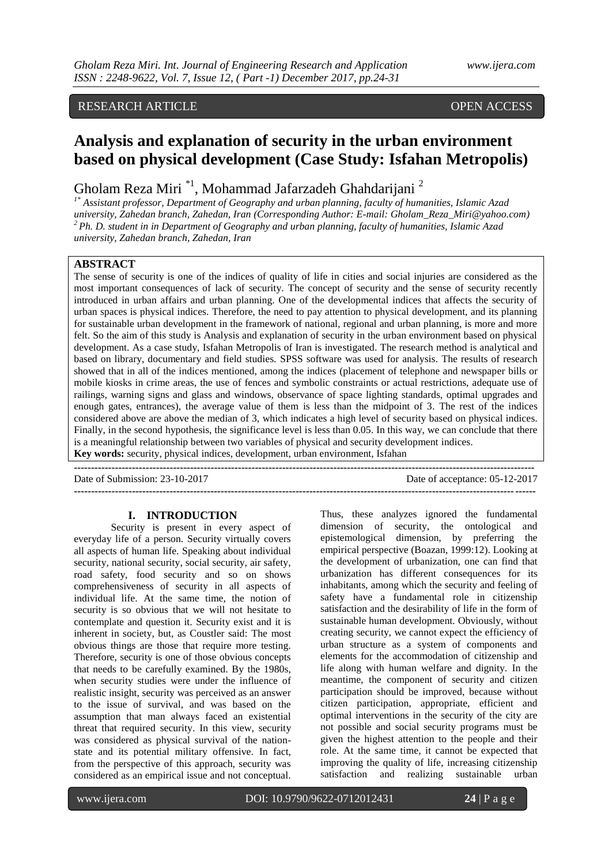# RESEARCH ARTICLE **CONSERVANCE OPEN ACCESS**

# **Analysis and explanation of security in the urban environment based on physical development (Case Study: Isfahan Metropolis)**

# Gholam Reza Miri<sup>\*1</sup>, Mohammad Jafarzadeh Ghahdarijani<sup>2</sup>

*1\* Assistant professor, Department of Geography and urban planning, faculty of humanities, Islamic Azad university, Zahedan branch, Zahedan, Iran (Corresponding Author: E-mail: Gholam\_Reza\_Miri@yahoo.com) <sup>2</sup>Ph. D. student in in Department of Geography and urban planning, faculty of humanities, Islamic Azad university, Zahedan branch, Zahedan, Iran*

# **ABSTRACT**

The sense of security is one of the indices of quality of life in cities and social injuries are considered as the most important consequences of lack of security. The concept of security and the sense of security recently introduced in urban affairs and urban planning. One of the developmental indices that affects the security of urban spaces is physical indices. Therefore, the need to pay attention to physical development, and its planning for sustainable urban development in the framework of national, regional and urban planning, is more and more felt. So the aim of this study is Analysis and explanation of security in the urban environment based on physical development. As a case study, Isfahan Metropolis of Iran is investigated. The research method is analytical and based on library, documentary and field studies. SPSS software was used for analysis. The results of research showed that in all of the indices mentioned, among the indices (placement of telephone and newspaper bills or mobile kiosks in crime areas, the use of fences and symbolic constraints or actual restrictions, adequate use of railings, warning signs and glass and windows, observance of space lighting standards, optimal upgrades and enough gates, entrances), the average value of them is less than the midpoint of 3. The rest of the indices considered above are above the median of 3, which indicates a high level of security based on physical indices. Finally, in the second hypothesis, the significance level is less than 0.05. In this way, we can conclude that there is a meaningful relationship between two variables of physical and security development indices. **Key words:** security, physical indices, development, urban environment, Isfahan

**---------------------------------------------------------------------------------------------------------------------------------------**

Date of Submission: 23-10-2017 Date of acceptance: 05-12-2017

**---------------------------------------------------------------------------------------------------------------------------------------**

#### **I. INTRODUCTION**

Security is present in every aspect of everyday life of a person. Security virtually covers all aspects of human life. Speaking about individual security, national security, social security, air safety, road safety, food security and so on shows comprehensiveness of security in all aspects of individual life. At the same time, the notion of security is so obvious that we will not hesitate to contemplate and question it. Security exist and it is inherent in society, but, as Coustler said: The most obvious things are those that require more testing. Therefore, security is one of those obvious concepts that needs to be carefully examined. By the 1980s, when security studies were under the influence of realistic insight, security was perceived as an answer to the issue of survival, and was based on the assumption that man always faced an existential threat that required security. In this view, security was considered as physical survival of the nationstate and its potential military offensive. In fact, from the perspective of this approach, security was considered as an empirical issue and not conceptual.

Thus, these analyzes ignored the fundamental dimension of security, the ontological and epistemological dimension, by preferring the empirical perspective (Boazan, 1999:12). Looking at the development of urbanization, one can find that urbanization has different consequences for its inhabitants, among which the security and feeling of safety have a fundamental role in citizenship satisfaction and the desirability of life in the form of sustainable human development. Obviously, without creating security, we cannot expect the efficiency of urban structure as a system of components and elements for the accommodation of citizenship and life along with human welfare and dignity. In the meantime, the component of security and citizen participation should be improved, because without citizen participation, appropriate, efficient and optimal interventions in the security of the city are not possible and social security programs must be given the highest attention to the people and their role. At the same time, it cannot be expected that improving the quality of life, increasing citizenship satisfaction and realizing sustainable urban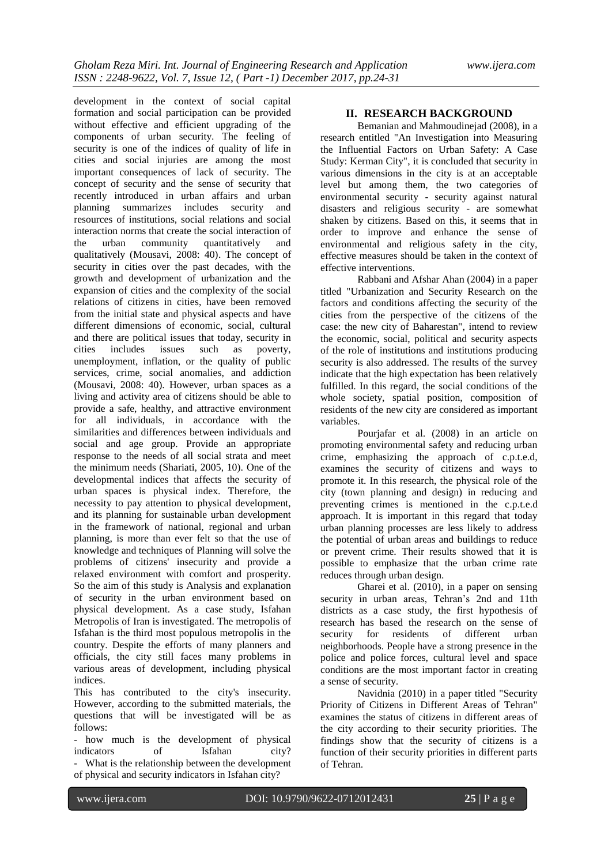development in the context of social capital formation and social participation can be provided without effective and efficient upgrading of the components of urban security. The feeling of security is one of the indices of quality of life in cities and social injuries are among the most important consequences of lack of security. The concept of security and the sense of security that recently introduced in urban affairs and urban planning summarizes includes security and resources of institutions, social relations and social interaction norms that create the social interaction of the urban community quantitatively and qualitatively (Mousavi, 2008: 40). The concept of security in cities over the past decades, with the growth and development of urbanization and the expansion of cities and the complexity of the social relations of citizens in cities, have been removed from the initial state and physical aspects and have different dimensions of economic, social, cultural and there are political issues that today, security in cities includes issues such as poverty, unemployment, inflation, or the quality of public services, crime, social anomalies, and addiction (Mousavi, 2008: 40). However, urban spaces as a living and activity area of citizens should be able to provide a safe, healthy, and attractive environment for all individuals, in accordance with the similarities and differences between individuals and social and age group. Provide an appropriate response to the needs of all social strata and meet the minimum needs (Shariati, 2005, 10). One of the developmental indices that affects the security of urban spaces is physical index. Therefore, the necessity to pay attention to physical development, and its planning for sustainable urban development in the framework of national, regional and urban planning, is more than ever felt so that the use of knowledge and techniques of Planning will solve the problems of citizens' insecurity and provide a relaxed environment with comfort and prosperity. So the aim of this study is Analysis and explanation of security in the urban environment based on physical development. As a case study, Isfahan Metropolis of Iran is investigated. The metropolis of Isfahan is the third most populous metropolis in the country. Despite the efforts of many planners and officials, the city still faces many problems in various areas of development, including physical indices.

This has contributed to the city's insecurity. However, according to the submitted materials, the questions that will be investigated will be as follows:

- how much is the development of physical indicators of Isfahan city?

- What is the relationship between the development of physical and security indicators in Isfahan city?

#### **II. RESEARCH BACKGROUND**

Bemanian and Mahmoudinejad (2008), in a research entitled "An Investigation into Measuring the Influential Factors on Urban Safety: A Case Study: Kerman City", it is concluded that security in various dimensions in the city is at an acceptable level but among them, the two categories of environmental security - security against natural disasters and religious security - are somewhat shaken by citizens. Based on this, it seems that in order to improve and enhance the sense of environmental and religious safety in the city, effective measures should be taken in the context of effective interventions.

Rabbani and Afshar Ahan (2004) in a paper titled "Urbanization and Security Research on the factors and conditions affecting the security of the cities from the perspective of the citizens of the case: the new city of Baharestan", intend to review the economic, social, political and security aspects of the role of institutions and institutions producing security is also addressed. The results of the survey indicate that the high expectation has been relatively fulfilled. In this regard, the social conditions of the whole society, spatial position, composition of residents of the new city are considered as important variables.

Pourjafar et al. (2008) in an article on promoting environmental safety and reducing urban crime, emphasizing the approach of c.p.t.e.d, examines the security of citizens and ways to promote it. In this research, the physical role of the city (town planning and design) in reducing and preventing crimes is mentioned in the c.p.t.e.d approach. It is important in this regard that today urban planning processes are less likely to address the potential of urban areas and buildings to reduce or prevent crime. Their results showed that it is possible to emphasize that the urban crime rate reduces through urban design.

Gharei et al. (2010), in a paper on sensing security in urban areas, Tehran's 2nd and 11th districts as a case study, the first hypothesis of research has based the research on the sense of security for residents of different urban neighborhoods. People have a strong presence in the police and police forces, cultural level and space conditions are the most important factor in creating a sense of security.

Navidnia (2010) in a paper titled "Security Priority of Citizens in Different Areas of Tehran" examines the status of citizens in different areas of the city according to their security priorities. The findings show that the security of citizens is a function of their security priorities in different parts of Tehran.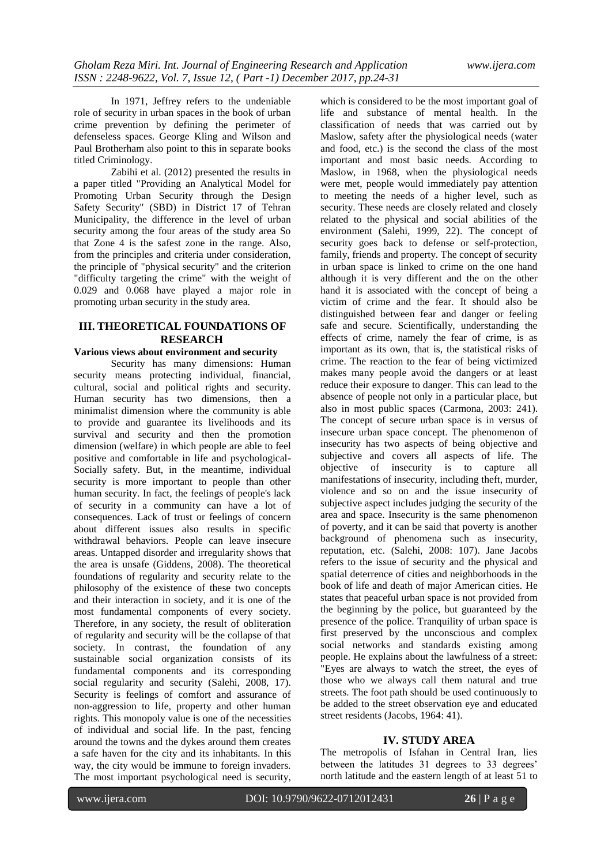In 1971, Jeffrey refers to the undeniable role of security in urban spaces in the book of urban crime prevention by defining the perimeter of defenseless spaces. George Kling and Wilson and Paul Brotherham also point to this in separate books titled Criminology.

Zabihi et al. (2012) presented the results in a paper titled "Providing an Analytical Model for Promoting Urban Security through the Design Safety Security" (SBD) in District 17 of Tehran Municipality, the difference in the level of urban security among the four areas of the study area So that Zone 4 is the safest zone in the range. Also, from the principles and criteria under consideration, the principle of "physical security" and the criterion "difficulty targeting the crime" with the weight of 0.029 and 0.068 have played a major role in promoting urban security in the study area.

### **III. THEORETICAL FOUNDATIONS OF RESEARCH**

#### **Various views about environment and security**

Security has many dimensions: Human security means protecting individual, financial, cultural, social and political rights and security. Human security has two dimensions, then a minimalist dimension where the community is able to provide and guarantee its livelihoods and its survival and security and then the promotion dimension (welfare) in which people are able to feel positive and comfortable in life and psychological-Socially safety. But, in the meantime, individual security is more important to people than other human security. In fact, the feelings of people's lack of security in a community can have a lot of consequences. Lack of trust or feelings of concern about different issues also results in specific withdrawal behaviors. People can leave insecure areas. Untapped disorder and irregularity shows that the area is unsafe (Giddens, 2008). The theoretical foundations of regularity and security relate to the philosophy of the existence of these two concepts and their interaction in society, and it is one of the most fundamental components of every society. Therefore, in any society, the result of obliteration of regularity and security will be the collapse of that society. In contrast, the foundation of any sustainable social organization consists of its fundamental components and its corresponding social regularity and security (Salehi, 2008, 17). Security is feelings of comfort and assurance of non-aggression to life, property and other human rights. This monopoly value is one of the necessities of individual and social life. In the past, fencing around the towns and the dykes around them creates a safe haven for the city and its inhabitants. In this way, the city would be immune to foreign invaders. The most important psychological need is security,

which is considered to be the most important goal of life and substance of mental health. In the classification of needs that was carried out by Maslow, safety after the physiological needs (water and food, etc.) is the second the class of the most important and most basic needs. According to Maslow, in 1968, when the physiological needs were met, people would immediately pay attention to meeting the needs of a higher level, such as security. These needs are closely related and closely related to the physical and social abilities of the environment (Salehi, 1999, 22). The concept of security goes back to defense or self-protection, family, friends and property. The concept of security in urban space is linked to crime on the one hand although it is very different and the on the other hand it is associated with the concept of being a victim of crime and the fear. It should also be distinguished between fear and danger or feeling safe and secure. Scientifically, understanding the effects of crime, namely the fear of crime, is as important as its own, that is, the statistical risks of crime. The reaction to the fear of being victimized makes many people avoid the dangers or at least reduce their exposure to danger. This can lead to the absence of people not only in a particular place, but also in most public spaces (Carmona, 2003: 241). The concept of secure urban space is in versus of insecure urban space concept. The phenomenon of insecurity has two aspects of being objective and subjective and covers all aspects of life. The objective of insecurity is to capture all manifestations of insecurity, including theft, murder, violence and so on and the issue insecurity of subjective aspect includes judging the security of the area and space. Insecurity is the same phenomenon of poverty, and it can be said that poverty is another background of phenomena such as insecurity, reputation, etc. (Salehi, 2008: 107). Jane Jacobs refers to the issue of security and the physical and spatial deterrence of cities and neighborhoods in the book of life and death of major American cities. He states that peaceful urban space is not provided from the beginning by the police, but guaranteed by the presence of the police. Tranquility of urban space is first preserved by the unconscious and complex social networks and standards existing among people. He explains about the lawfulness of a street: "Eyes are always to watch the street, the eyes of those who we always call them natural and true streets. The foot path should be used continuously to be added to the street observation eye and educated street residents (Jacobs, 1964: 41).

#### **IV. STUDY AREA**

The metropolis of Isfahan in Central Iran, lies between the latitudes 31 degrees to 33 degrees' north latitude and the eastern length of at least 51 to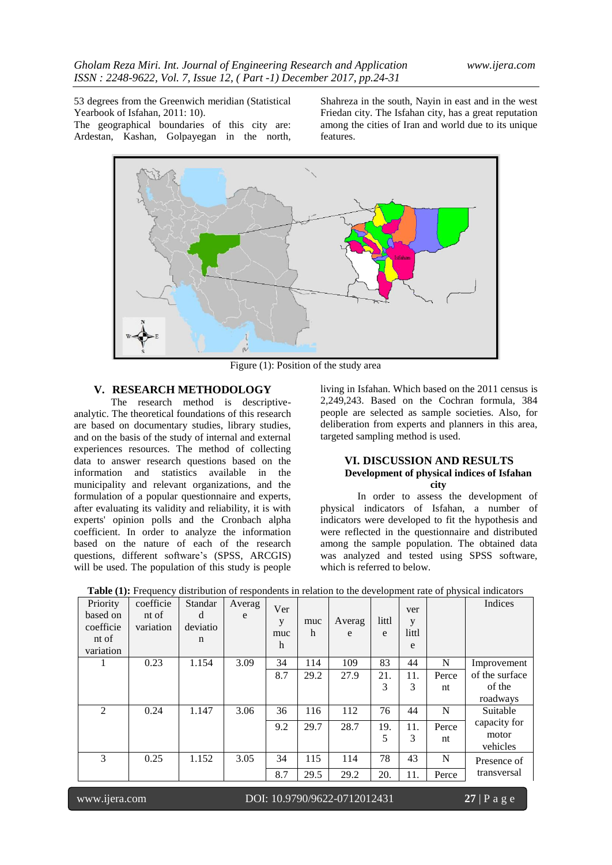53 degrees from the Greenwich meridian (Statistical Yearbook of Isfahan, 2011: 10). The geographical boundaries of this city are: Ardestan, Kashan, Golpayegan in the north,

Shahreza in the south, Nayin in east and in the west Friedan city. The Isfahan city, has a great reputation among the cities of Iran and world due to its unique features.



Figure (1): Position of the study area

## **V. RESEARCH METHODOLOGY**

The research method is descriptiveanalytic. The theoretical foundations of this research are based on documentary studies, library studies, and on the basis of the study of internal and external experiences resources. The method of collecting data to answer research questions based on the information and statistics available in the municipality and relevant organizations, and the formulation of a popular questionnaire and experts, after evaluating its validity and reliability, it is with experts' opinion polls and the Cronbach alpha coefficient. In order to analyze the information based on the nature of each of the research questions, different software's (SPSS, ARCGIS) will be used. The population of this study is people

living in Isfahan. Which based on the 2011 census is 2,249,243. Based on the Cochran formula, 384 people are selected as sample societies. Also, for deliberation from experts and planners in this area, targeted sampling method is used.

#### **VI. DISCUSSION AND RESULTS Development of physical indices of Isfahan city**

In order to assess the development of physical indicators of Isfahan, a number of indicators were developed to fit the hypothesis and were reflected in the questionnaire and distributed among the sample population. The obtained data was analyzed and tested using SPSS software, which is referred to below.

| 0.23<br>1.154<br>3.09<br>83<br>34<br>114<br>109<br>44<br>N<br>Improvement<br>of the surface<br>8.7<br>29.2<br>27.9<br>21.<br>11.<br>Perce<br>3<br>3<br>of the<br>nt |  |
|---------------------------------------------------------------------------------------------------------------------------------------------------------------------|--|
|                                                                                                                                                                     |  |
|                                                                                                                                                                     |  |
|                                                                                                                                                                     |  |
| roadways                                                                                                                                                            |  |
| 2<br>0.24<br>36<br>76<br>44<br>N<br>1.147<br>3.06<br>116<br>112<br>Suitable                                                                                         |  |
| capacity for<br>9.2<br>29.7<br>28.7<br>19.<br>11.<br>Perce                                                                                                          |  |
| motor<br>5<br>3<br>nt                                                                                                                                               |  |
| vehicles                                                                                                                                                            |  |
| 3<br>78<br>43<br>0.25<br>1.152<br>3.05<br>34<br>115<br>114<br>N<br>Presence of                                                                                      |  |
| transversal<br>8.7<br>29.5<br>20.<br>29.2<br>11.<br>Perce                                                                                                           |  |

**Table (1):** Frequency distribution of respondents in relation to the development rate of physical indicators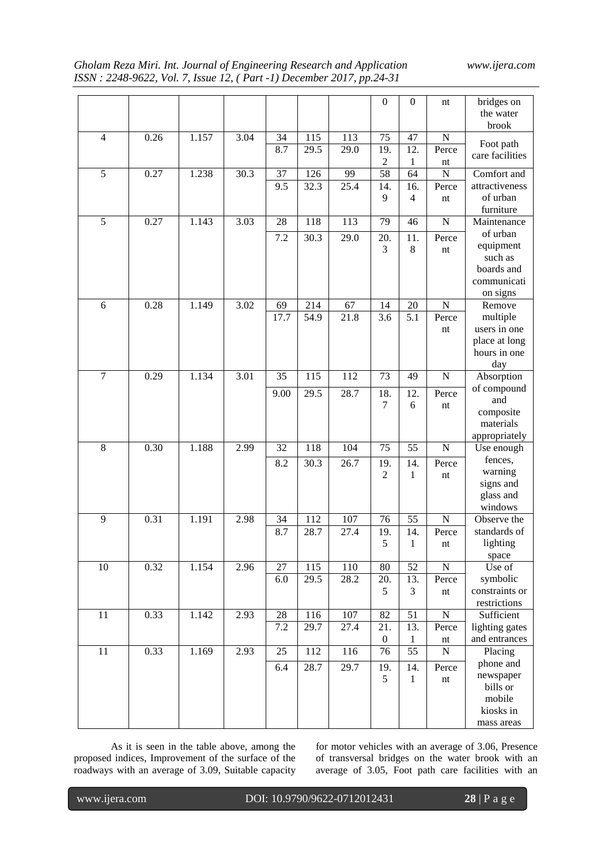# *Gholam Reza Miri. Int. Journal of Engineering Research and Application www.ijera.com ISSN : 2248-9622, Vol. 7, Issue 12, ( Part -1) December 2017, pp.24-31*

|                |      |       |      |        |      |         | $\boldsymbol{0}$ | $\boldsymbol{0}$ | nt                       | bridges on<br>the water  |
|----------------|------|-------|------|--------|------|---------|------------------|------------------|--------------------------|--------------------------|
|                |      |       |      |        |      |         |                  |                  |                          | brook                    |
| $\overline{4}$ | 0.26 | 1.157 | 3.04 | 34     | 115  | 113     | 75               | 47               | N                        | Foot path                |
|                |      |       |      | 8.7    | 29.5 | 29.0    | 19.              | 12.              | Perce                    | care facilities          |
|                |      |       |      |        |      |         | $\boldsymbol{2}$ | $\mathbf{1}$     | nt                       |                          |
| 5              | 0.27 | 1.238 | 30.3 | 37     | 126  | 99      | 58               | 64               | $\overline{N}$           | Comfort and              |
|                |      |       |      | 9.5    | 32.3 | 25.4    | 14.              | 16.              | Perce                    | attractiveness           |
|                |      |       |      |        |      |         | 9                | $\overline{4}$   | nt                       | of urban                 |
|                |      |       |      |        |      |         |                  |                  |                          | furniture                |
| 5              | 0.27 | 1.143 | 3.03 | 28     | 118  | 113     | 79               | 46               | $\mathbf N$              | Maintenance              |
|                |      |       |      | 7.2    | 30.3 | 29.0    | 20.              | 11.              | Perce                    | of urban                 |
|                |      |       |      |        |      |         | 3                | 8                | nt                       | equipment                |
|                |      |       |      |        |      |         |                  |                  |                          | such as                  |
|                |      |       |      |        |      |         |                  |                  |                          | boards and               |
|                |      |       |      |        |      |         |                  |                  |                          | communicati              |
|                |      |       |      |        |      |         |                  |                  |                          | on signs                 |
| 6              | 0.28 | 1.149 | 3.02 | 69     | 214  | 67      | 14               | 20               | $\mathbf N$              | Remove                   |
|                |      |       |      | 17.7   | 54.9 | 21.8    | 3.6              | 5.1              | Perce                    | multiple<br>users in one |
|                |      |       |      |        |      |         |                  |                  | nt                       |                          |
|                |      |       |      |        |      |         |                  |                  |                          | place at long            |
|                |      |       |      |        |      |         |                  |                  |                          | hours in one             |
|                |      |       |      |        |      |         |                  |                  |                          | day                      |
| $\tau$         | 0.29 | 1.134 | 3.01 | 35     | 115  | 112     | 73               | 49               | $\mathbf N$              | Absorption               |
|                |      |       |      | 9.00   | 29.5 | 28.7    | 18.              | 12.              | Perce                    | of compound              |
|                |      |       |      |        |      |         | $\tau$           | 6                | nt                       | and                      |
|                |      |       |      |        |      |         |                  |                  |                          | composite<br>materials   |
|                |      |       |      |        |      |         |                  |                  |                          | appropriately            |
| 8              | 0.30 | 1.188 | 2.99 | 32     | 118  | 104     | 75               | 55               | $\mathbf N$              | Use enough               |
|                |      |       |      |        |      |         |                  |                  |                          | fences,                  |
|                |      |       |      | 8.2    | 30.3 | 26.7    | 19.              | 14.              | Perce                    | warning                  |
|                |      |       |      |        |      |         | 2                | 1                | nt                       | signs and                |
|                |      |       |      |        |      |         |                  |                  |                          | glass and                |
|                |      |       |      |        |      |         |                  |                  |                          | windows                  |
| 9              | 0.31 | 1.191 | 2.98 | 34     | 112  | 107     | 76               | 55               | $\mathbf N$              | Observe the              |
|                |      |       |      | 8.7    | 28.7 | 27.4    | 19.              | 14.              | Perce                    | standards of             |
|                |      |       |      |        |      |         | 5                | 1                | nt                       | lighting                 |
|                |      |       |      |        |      |         |                  |                  |                          | space                    |
| 10             | 0.32 | 1.154 | 2.96 | 27     | 115  | 110     | 80               | 52               | $\overline{N}$           | Use of                   |
|                |      |       |      | 6.0    | 29.5 | 28.2    | 20.              | 13.              | Perce                    | symbolic                 |
|                |      |       |      |        |      |         | 5                | 3                | $\mathop{\hbox{\rm nt}}$ | constraints or           |
|                |      |       |      |        |      |         |                  |                  |                          | restrictions             |
| 11             | 0.33 | 1.142 | 2.93 | $28\,$ | 116  | $107\,$ | 82               | 51               | ${\bf N}$                | Sufficient               |
|                |      |       |      | 7.2    | 29.7 | 27.4    | 21.              | 13.              | Perce                    | lighting gates           |
|                |      |       |      |        |      |         | $\boldsymbol{0}$ | $\mathbf{1}$     | $\mathop{\hbox{\rm nt}}$ | and entrances            |
| 11             | 0.33 | 1.169 | 2.93 | 25     | 112  | 116     | 76               | 55               | $\mathbf N$              | Placing                  |
|                |      |       |      | 6.4    | 28.7 | 29.7    | 19.              | 14.              | Perce                    | phone and                |
|                |      |       |      |        |      |         | 5                | $\mathbf{1}$     | $\mathop{\hbox{\rm nt}}$ | newspaper                |
|                |      |       |      |        |      |         |                  |                  |                          | bills or                 |
|                |      |       |      |        |      |         |                  |                  |                          | mobile                   |
|                |      |       |      |        |      |         |                  |                  |                          | kiosks in                |
|                |      |       |      |        |      |         |                  |                  |                          | mass areas               |

As it is seen in the table above, among the proposed indices, Improvement of the surface of the roadways with an average of 3.09, Suitable capacity for motor vehicles with an average of 3.06, Presence of transversal bridges on the water brook with an average of 3.05, Foot path care facilities with an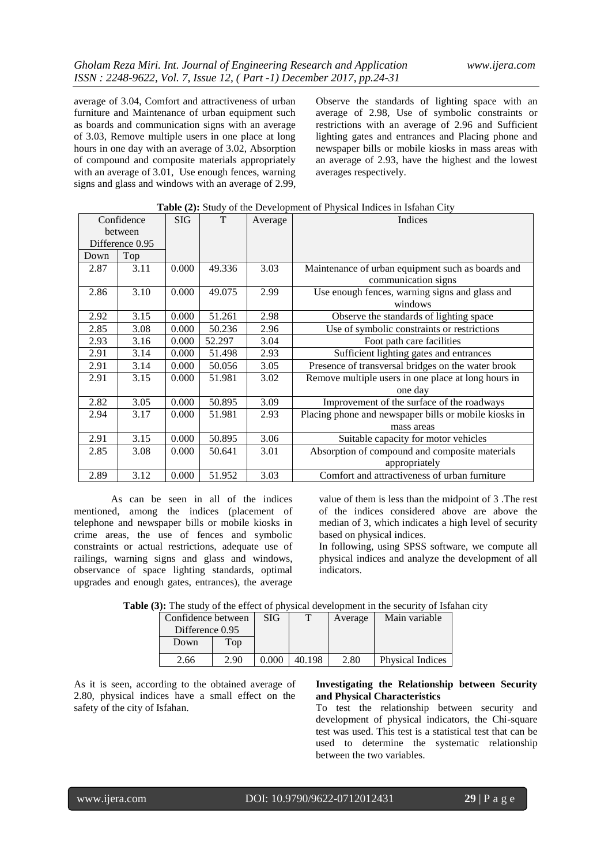average of 3.04, Comfort and attractiveness of urban furniture and Maintenance of urban equipment such as boards and communication signs with an average of 3.03, Remove multiple users in one place at long hours in one day with an average of 3.02, Absorption of compound and composite materials appropriately with an average of 3.01, Use enough fences, warning signs and glass and windows with an average of 2.99,

Observe the standards of lighting space with an average of 2.98, Use of symbolic constraints or restrictions with an average of 2.96 and Sufficient lighting gates and entrances and Placing phone and newspaper bills or mobile kiosks in mass areas with an average of 2.93, have the highest and the lowest averages respectively.

| Confidence      |      | <b>SIG</b> | T      | Average | Indices                                               |  |  |
|-----------------|------|------------|--------|---------|-------------------------------------------------------|--|--|
| between         |      |            |        |         |                                                       |  |  |
| Difference 0.95 |      |            |        |         |                                                       |  |  |
| Down            | Top  |            |        |         |                                                       |  |  |
| 2.87            | 3.11 | 0.000      | 49.336 | 3.03    | Maintenance of urban equipment such as boards and     |  |  |
|                 |      |            |        |         | communication signs                                   |  |  |
| 2.86            | 3.10 | 0.000      | 49.075 | 2.99    | Use enough fences, warning signs and glass and        |  |  |
|                 |      |            |        |         | windows                                               |  |  |
| 2.92            | 3.15 | 0.000      | 51.261 | 2.98    | Observe the standards of lighting space               |  |  |
| 2.85            | 3.08 | 0.000      | 50.236 | 2.96    | Use of symbolic constraints or restrictions           |  |  |
| 2.93            | 3.16 | 0.000      | 52.297 | 3.04    | Foot path care facilities                             |  |  |
| 2.91            | 3.14 | 0.000      | 51.498 | 2.93    | Sufficient lighting gates and entrances               |  |  |
| 2.91            | 3.14 | 0.000      | 50.056 | 3.05    | Presence of transversal bridges on the water brook    |  |  |
| 2.91            | 3.15 | 0.000      | 51.981 | 3.02    | Remove multiple users in one place at long hours in   |  |  |
|                 |      |            |        |         | one day                                               |  |  |
| 2.82            | 3.05 | 0.000      | 50.895 | 3.09    | Improvement of the surface of the roadways            |  |  |
| 2.94            | 3.17 | 0.000      | 51.981 | 2.93    | Placing phone and newspaper bills or mobile kiosks in |  |  |
|                 |      |            |        |         | mass areas                                            |  |  |
| 2.91            | 3.15 | 0.000      | 50.895 | 3.06    | Suitable capacity for motor vehicles                  |  |  |
| 2.85            | 3.08 | 0.000      | 50.641 | 3.01    | Absorption of compound and composite materials        |  |  |
|                 |      |            |        |         | appropriately                                         |  |  |
| 3.12<br>2.89    |      | 0.000      | 51.952 | 3.03    | Comfort and attractiveness of urban furniture         |  |  |

**Table (2):** Study of the Development of Physical Indices in Isfahan City

As can be seen in all of the indices mentioned, among the indices (placement of telephone and newspaper bills or mobile kiosks in crime areas, the use of fences and symbolic constraints or actual restrictions, adequate use of railings, warning signs and glass and windows, observance of space lighting standards, optimal upgrades and enough gates, entrances), the average

value of them is less than the midpoint of 3 .The rest of the indices considered above are above the median of 3, which indicates a high level of security based on physical indices.

In following, using SPSS software, we compute all physical indices and analyze the development of all indicators.

**Table (3):** The study of the effect of physical development in the security of Isfahan city

| Confidence between |      | SIG   | $\mathbf{r}$ | Average | Main variable           |
|--------------------|------|-------|--------------|---------|-------------------------|
| Difference 0.95    |      |       |              |         |                         |
| Down               | Top  |       |              |         |                         |
|                    |      |       |              |         |                         |
| 2.66               | 2.90 | 0.000 |              | 2.80    | <b>Physical Indices</b> |

As it is seen, according to the obtained average of 2.80, physical indices have a small effect on the safety of the city of Isfahan.

### **Investigating the Relationship between Security and Physical Characteristics**

To test the relationship between security and development of physical indicators, the Chi-square test was used. This test is a statistical test that can be used to determine the systematic relationship between the two variables.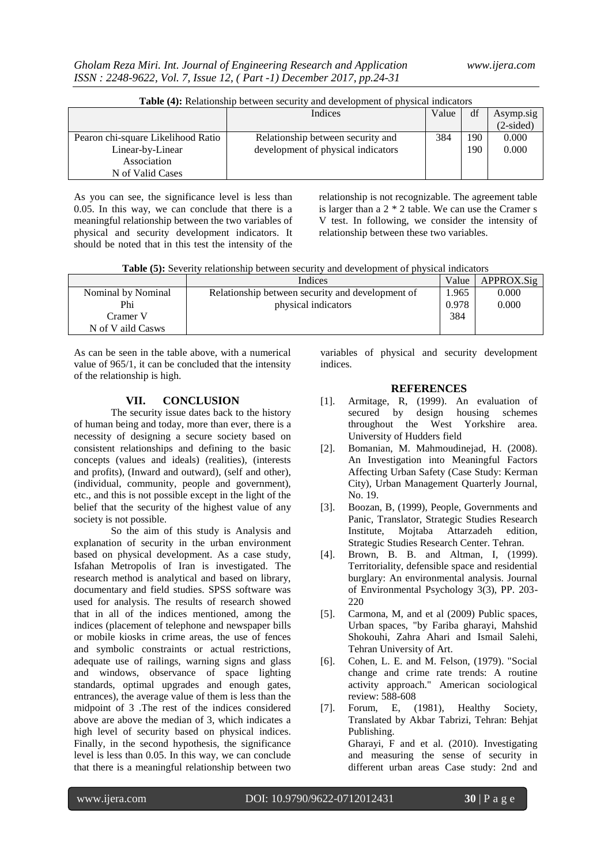|  | <b>Table (4):</b> Relationship between security and development of physical indicators |
|--|----------------------------------------------------------------------------------------|
|--|----------------------------------------------------------------------------------------|

|                                    | Indices                            | Value | df  | Asymp.sig   |
|------------------------------------|------------------------------------|-------|-----|-------------|
|                                    |                                    |       |     | $(2-sided)$ |
| Pearon chi-square Likelihood Ratio | Relationship between security and  | 384   | 190 | 0.000       |
| Linear-by-Linear                   | development of physical indicators |       | 190 | 0.000       |
| Association                        |                                    |       |     |             |
| N of Valid Cases                   |                                    |       |     |             |

As you can see, the significance level is less than 0.05. In this way, we can conclude that there is a meaningful relationship between the two variables of physical and security development indicators. It should be noted that in this test the intensity of the

relationship is not recognizable. The agreement table is larger than a 2 \* 2 table. We can use the Cramer s V test. In following, we consider the intensity of relationship between these two variables.

**Table (5):** Severity relationship between security and development of physical indicators

|                    | Indices                                          | Value | APPROX.Sig |
|--------------------|--------------------------------------------------|-------|------------|
| Nominal by Nominal | Relationship between security and development of | 1.965 | 0.000      |
| Phi                | physical indicators                              | 0.978 | 0.000      |
| Cramer V           |                                                  | 384   |            |
| N of V aild Casws  |                                                  |       |            |

As can be seen in the table above, with a numerical value of 965/1, it can be concluded that the intensity of the relationship is high.

### **VII. CONCLUSION**

The security issue dates back to the history of human being and today, more than ever, there is a necessity of designing a secure society based on consistent relationships and defining to the basic concepts (values and ideals) (realities), (interests and profits), (Inward and outward), (self and other), (individual, community, people and government), etc., and this is not possible except in the light of the belief that the security of the highest value of any society is not possible.

So the aim of this study is Analysis and explanation of security in the urban environment based on physical development. As a case study, Isfahan Metropolis of Iran is investigated. The research method is analytical and based on library, documentary and field studies. SPSS software was used for analysis. The results of research showed that in all of the indices mentioned, among the indices (placement of telephone and newspaper bills or mobile kiosks in crime areas, the use of fences and symbolic constraints or actual restrictions, adequate use of railings, warning signs and glass and windows, observance of space lighting standards, optimal upgrades and enough gates, entrances), the average value of them is less than the midpoint of 3 .The rest of the indices considered above are above the median of 3, which indicates a high level of security based on physical indices. Finally, in the second hypothesis, the significance level is less than 0.05. In this way, we can conclude that there is a meaningful relationship between two

variables of physical and security development indices.

### **REFERENCES**

- [1]. Armitage, R, (1999). An evaluation of secured by design housing schemes throughout the West Yorkshire area. University of Hudders field
- [2]. Bomanian, M. Mahmoudinejad, H. (2008). An Investigation into Meaningful Factors Affecting Urban Safety (Case Study: Kerman City), Urban Management Quarterly Journal, No. 19.
- [3]. Boozan, B, (1999), People, Governments and Panic, Translator, Strategic Studies Research Institute, Mojtaba Attarzadeh edition, Strategic Studies Research Center. Tehran.
- [4]. Brown, B. B. and Altman, I, (1999). Territoriality, defensible space and residential burglary: An environmental analysis. Journal of Environmental Psychology 3(3), PP. 203- 220
- [5]. Carmona, M, and et al (2009) Public spaces, Urban spaces, "by Fariba gharayi, Mahshid Shokouhi, Zahra Ahari and Ismail Salehi, Tehran University of Art.
- [6]. Cohen, L. E. and M. Felson, (1979). "Social change and crime rate trends: A routine activity approach." American sociological review: 588-608
- [7]. Forum, E, (1981), Healthy Society, Translated by Akbar Tabrizi, Tehran: Behjat Publishing. Gharayi, F and et al. (2010). Investigating and measuring the sense of security in different urban areas Case study: 2nd and